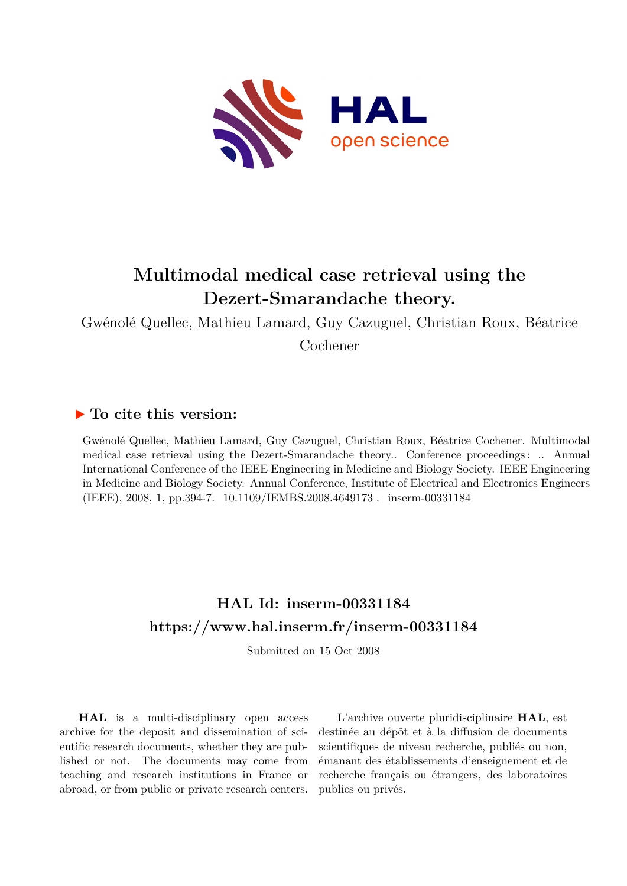

# **Multimodal medical case retrieval using the Dezert-Smarandache theory.**

Gwénolé Quellec, Mathieu Lamard, Guy Cazuguel, Christian Roux, Béatrice

Cochener

# **To cite this version:**

Gwénolé Quellec, Mathieu Lamard, Guy Cazuguel, Christian Roux, Béatrice Cochener. Multimodal medical case retrieval using the Dezert-Smarandache theory.. Conference proceedings : .. Annual International Conference of the IEEE Engineering in Medicine and Biology Society. IEEE Engineering in Medicine and Biology Society. Annual Conference, Institute of Electrical and Electronics Engineers (IEEE), 2008, 1, pp.394-7.  $10.1109$ /IEMBS.2008.4649173. inserm-00331184

# **HAL Id: inserm-00331184 <https://www.hal.inserm.fr/inserm-00331184>**

Submitted on 15 Oct 2008

**HAL** is a multi-disciplinary open access archive for the deposit and dissemination of scientific research documents, whether they are published or not. The documents may come from teaching and research institutions in France or abroad, or from public or private research centers.

L'archive ouverte pluridisciplinaire **HAL**, est destinée au dépôt et à la diffusion de documents scientifiques de niveau recherche, publiés ou non, émanant des établissements d'enseignement et de recherche français ou étrangers, des laboratoires publics ou privés.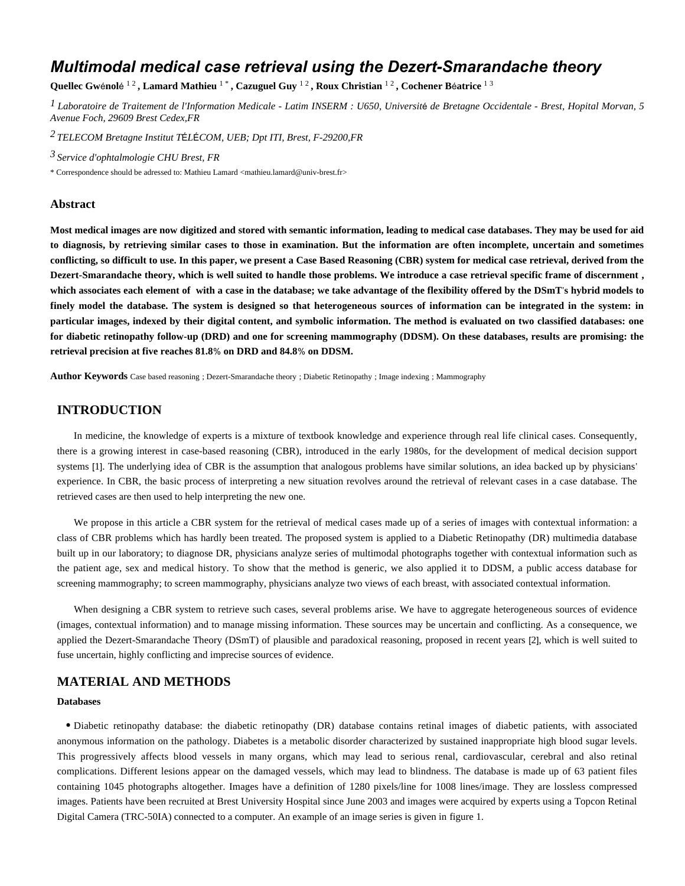# *Multimodal medical case retrieval using the Dezert-Smarandache theory*

Quellec Gwénolé <sup>12</sup>, Lamard Mathieu <sup>1</sup>\*, Cazuguel Guy <sup>12</sup>, Roux Christian <sup>12</sup>, Cochener Béatrice <sup>13</sup>

<sup>1</sup> Laboratoire de Traitement de l'Information Medicale - Latim INSERM : U650, Université de Bretagne Occidentale - Brest, Hopital Morvan, 5 *Avenue Foch, 29609 Brest Cedex,FR*

*TELECOM Bretagne 2 Institut T L COM* É É *, UEB; Dpt ITI, Brest, F-29200,FR*

*Service d'ophtalmologie 3 CHU Brest, FR*

\* Correspondence should be adressed to: Mathieu Lamard <mathieu.lamard@univ-brest.fr>

#### **Abstract**

**Most medical images are now digitized and stored with semantic information, leading to medical case databases. They may be used for aid to diagnosis, by retrieving similar cases to those in examination. But the information are often incomplete, uncertain and sometimes conflicting, so difficult to use. In this paper, we present a Case Based Reasoning (CBR) system for medical case retrieval, derived from the Dezert-Smarandache theory, which is well suited to handle those problems. We introduce a case retrieval specific frame of discernment , which associates each element of with a case in the database; we take advantage of the flexibility offered by the DSmT s hybrid models to** ' **finely model the database. The system is designed so that heterogeneous sources of information can be integrated in the system: in particular images, indexed by their digital content, and symbolic information. The method is evaluated on two classified databases: one for diabetic retinopathy follow-up (DRD) and one for screening mammography (DDSM). On these databases, results are promising: the** retrieval precision at five reaches 81.8% on DRD and 84.8% on DDSM.

**Author Keywords** Case based reasoning ; Dezert-Smarandache theory ; Diabetic Retinopathy ; Image indexing ; Mammography

#### **INTRODUCTION**

In medicine, the knowledge of experts is a mixture of textbook knowledge and experience through real life clinical cases. Consequently, there is a growing interest in case-based reasoning (CBR), introduced in the early 1980s, for the development of medical decision support systems [1]. The underlying idea of CBR is the assumption that analogous problems have similar solutions, an idea backed up by physicians' experience. In CBR, the basic process of interpreting a new situation revolves around the retrieval of relevant cases in a case database. The retrieved cases are then used to help interpreting the new one.

We propose in this article a CBR system for the retrieval of medical cases made up of a series of images with contextual information: a class of CBR problems which has hardly been treated. The proposed system is applied to a Diabetic Retinopathy (DR) multimedia database built up in our laboratory; to diagnose DR, physicians analyze series of multimodal photographs together with contextual information such as the patient age, sex and medical history. To show that the method is generic, we also applied it to DDSM, a public access database for screening mammography; to screen mammography, physicians analyze two views of each breast, with associated contextual information.

When designing a CBR system to retrieve such cases, several problems arise. We have to aggregate heterogeneous sources of evidence (images, contextual information) and to manage missing information. These sources may be uncertain and conflicting. As a consequence, we applied the Dezert-Smarandache Theory (DSmT) of plausible and paradoxical reasoning, proposed in recent years [2], which is well suited to fuse uncertain, highly conflicting and imprecise sources of evidence.

### **MATERIAL AND METHODS**

#### **Databases**

Diabetic retinopathy database: the diabetic retinopathy (DR) database contains retinal images of diabetic patients, with associated anonymous information on the pathology. Diabetes is a metabolic disorder characterized by sustained inappropriate high blood sugar levels. This progressively affects blood vessels in many organs, which may lead to serious renal, cardiovascular, cerebral and also retinal complications. Different lesions appear on the damaged vessels, which may lead to blindness. The database is made up of 63 patient files containing 1045 photographs altogether. Images have a definition of 1280 pixels/line for 1008 lines/image. They are lossless compressed images. Patients have been recruited at Brest University Hospital since June 2003 and images were acquired by experts using a Topcon Retinal Digital Camera (TRC-50IA) connected to a computer. An example of an image series is given in figure 1.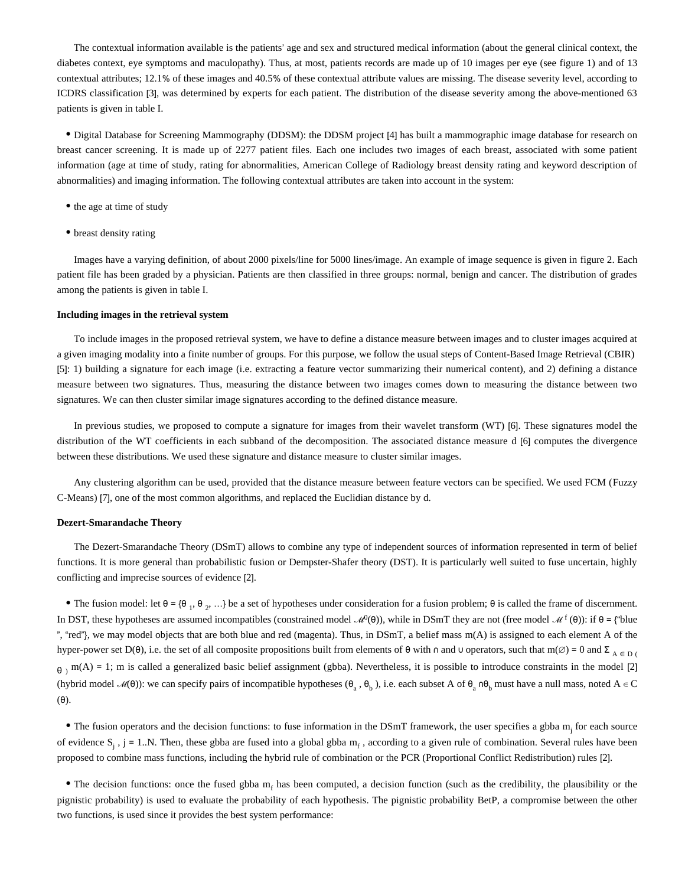The contextual information available is the patients' age and sex and structured medical information (about the general clinical context, the diabetes context, eye symptoms and maculopathy). Thus, at most, patients records are made up of 10 images per eye (see figure 1) and of 13 contextual attributes; 12.1% of these images and 40.5% of these contextual attribute values are missing. The disease severity level, according to ICDRS classification [3], was determined by experts for each patient. The distribution of the disease severity among the above-mentioned 63 patients is given in table I.

• Digital Database for Screening Mammography (DDSM): the DDSM project [4] has built a mammographic image database for research on breast cancer screening. It is made up of 2277 patient files. Each one includes two images of each breast, associated with some patient information (age at time of study, rating for abnormalities, American College of Radiology breast density rating and keyword description of abnormalities) and imaging information. The following contextual attributes are taken into account in the system:

- the age at time of study
- breast density rating

Images have a varying definition, of about 2000 pixels/line for 5000 lines/image. An example of image sequence is given in figure 2. Each patient file has been graded by a physician. Patients are then classified in three groups: normal, benign and cancer. The distribution of grades among the patients is given in table I.

#### **Including images in the retrieval system**

To include images in the proposed retrieval system, we have to define a distance measure between images and to cluster images acquired at a given imaging modality into a finite number of groups. For this purpose, we follow the usual steps of Content-Based Image Retrieval (CBIR) [5]: 1) building a signature for each image (i.e. extracting a feature vector summarizing their numerical content), and 2) defining a distance measure between two signatures. Thus, measuring the distance between two images comes down to measuring the distance between two signatures. We can then cluster similar image signatures according to the defined distance measure.

In previous studies, we proposed to compute a signature for images from their wavelet transform (WT) [6]. These signatures model the distribution of the WT coefficients in each subband of the decomposition. The associated distance measure d [6] computes the divergence between these distributions. We used these signature and distance measure to cluster similar images.

Any clustering algorithm can be used, provided that the distance measure between feature vectors can be specified. We used FCM (Fuzzy C-Means) [7], one of the most common algorithms, and replaced the Euclidian distance by d.

#### **Dezert-Smarandache Theory**

The Dezert-Smarandache Theory (DSmT) allows to combine any type of independent sources of information represented in term of belief functions. It is more general than probabilistic fusion or Dempster-Shafer theory (DST). It is particularly well suited to fuse uncertain, highly conflicting and imprecise sources of evidence [2].

The fusion model: let  $\theta = {\theta_1, \theta_2, ...}$  be a set of hypotheses under consideration for a fusion problem;  $\theta$  is called the frame of discernment. In DST, these hypotheses are assumed incompatibles (constrained model  $\mathcal{M}^0(\theta)$ ), while in DSmT they are not (free model  $\mathcal{M}^{\text{f}}(\theta)$ ): if  $\theta$  = {"blue ", "red"}, we may model objects that are both blue and red (magenta). Thus, in DSmT, a belief mass  $m(A)$  is assigned to each element A of the hyper-power set D( $\theta$ ), i.e. the set of all composite propositions built from elements of  $\theta$  with  $\theta$  and  $\theta$  operators, such that m( $\emptyset$ ) = 0 and  $\Sigma_{A \in \mathcal{D}}$  (  $\theta_1$  m(A) = 1; m is called a generalized basic belief assignment (gbba). Nevertheless, it is possible to introduce constraints in the model [2] (hybrid model  $\mathcal{M}(\theta)$ ): we can specify pairs of incompatible hypotheses  $(\theta_a, \theta_b)$ , i.e. each subset A of  $\theta_a$  n $\theta_b$  must have a null mass, noted A  $\in$  C  $(\theta)$ .

• The fusion operators and the decision functions: to fuse information in the DSmT framework, the user specifies a gbba m if or each source of evidence  $S_j$ ,  $j = 1..N$ . Then, these gbba are fused into a global gbba  $m_f$ , according to a given rule of combination. Several rules have been proposed to combine mass functions, including the hybrid rule of combination or the PCR (Proportional Conflict Redistribution) rules [2].

• The decision functions: once the fused gbba  $m_f$  has been computed, a decision function (such as the credibility, the plausibility or the pignistic probability) is used to evaluate the probability of each hypothesis. The pignistic probability BetP, a compromise between the other two functions, is used since it provides the best system performance: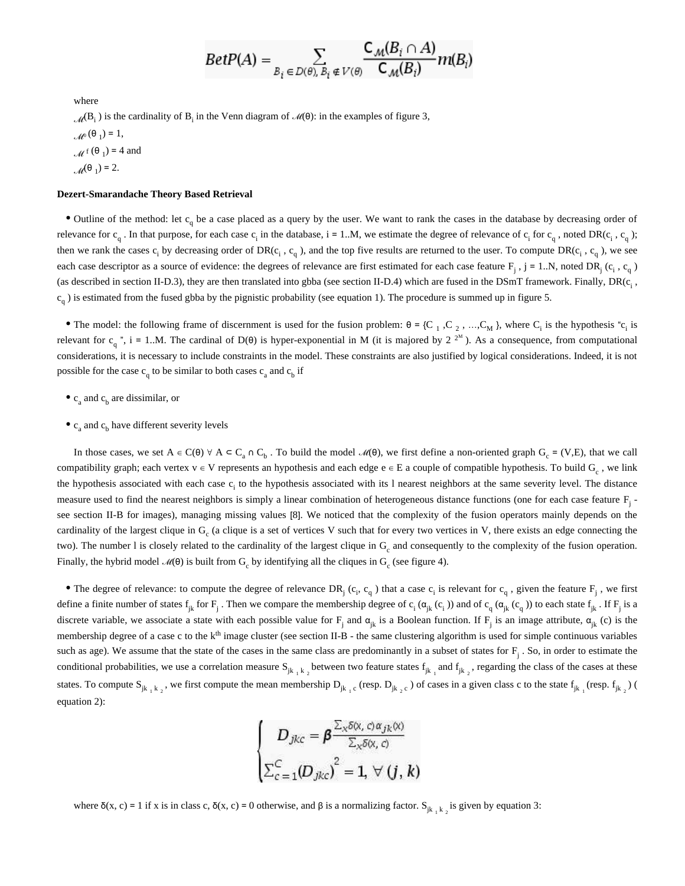$$
BetP(A) = \sum_{B_i \in D(\theta), B_i \notin V(\theta)} \frac{\mathsf{C}_{\mathcal{M}}(B_i \cap A)}{\mathsf{C}_{\mathcal{M}}(B_i)} m(B_i)
$$

where

 $\mathcal{M}(\mathsf{B}_i)$  is the cardinality of  $\mathsf{B}_i$  in the Venn diagram of  $\mathcal{M}(\theta)$ : in the examples of figure 3,  $\mathcal{M}^{0}(\Theta_1) = 1,$  $\mathcal{M}^{\text{f}}(\Theta_1) = 4$  and  $\mathcal{M}^{(\theta_1)} = 2.$ 

#### **Dezert-Smarandache Theory Based Retrieval**

• Outline of the method: let  $c_q$  be a case placed as a query by the user. We want to rank the cases in the database by decreasing order of relevance for  $c_q$ . In that purpose, for each case  $c_i$  in the database,  $i = 1..M$ , we estimate the degree of relevance of  $c_i$  for  $c_q$ , noted DR( $c_i$ ,  $c_q$ ); then we rank the cases  $c_i$  by decreasing order of DR( $c_i$ ,  $c_q$ ), and the top five results are returned to the user. To compute DR( $c_i$ ,  $c_q$ ), we see each case descriptor as a source of evidence: the degrees of relevance are first estimated for each case feature  $F_j$ ,  $j = 1..N$ , noted  $DR_j(c_i, c_q)$ (as described in section II-D.3), they are then translated into gbba (see section II-D.4) which are fused in the DSmT framework. Finally, DR( $c_i$ ,  $c_q$ ) is estimated from the fused gbba by the pignistic probability (see equation 1). The procedure is summed up in figure 5.

The model: the following frame of discernment is used for the fusion problem:  $\theta = \{C_1, C_2, \dots, C_M\}$ , where  $C_i$  is the hypothesis " $c_i$  is relevant for  $c_q$ ", i = 1..M. The cardinal of D( $\theta$ ) is hyper-exponential in M (it is majored by 2<sup>2M</sup>). As a consequence, from computational considerations, it is necessary to include constraints in the model. These constraints are also justified by logical considerations. Indeed, it is not possible for the case  $c_q$  to be similar to both cases  $c_a$  and  $c_b$  if

- $c_a$  and  $c_b$  are dissimilar, or
- $c_a$  and  $c_b$  have different severity levels

In those cases, we set  $A \in C(\theta)$   $\forall$   $A \subseteq C_a \cap C_b$ . To build the model  $\mathcal{M}(\theta)$ , we first define a non-oriented graph  $G_c = (V, E)$ , that we call compatibility graph; each vertex v ∈ V represents an hypothesis and each edge e ∈ E a couple of compatible hypothesis. To build G<sub>c</sub>, we link the hypothesis associated with each case  $c_i$  to the hypothesis associated with its 1 nearest neighbors at the same severity level. The distance measure used to find the nearest neighbors is simply a linear combination of heterogeneous distance functions (one for each case feature  $F_i$  see section II-B for images), managing missing values [8]. We noticed that the complexity of the fusion operators mainly depends on the cardinality of the largest clique in  $G_c$  (a clique is a set of vertices V such that for every two vertices in V, there exists an edge connecting the two). The number l is closely related to the cardinality of the largest clique in  $G<sub>c</sub>$  and consequently to the complexity of the fusion operation. Finally, the hybrid model  $\mathcal{M}(\theta)$  is built from  $G_c$  by identifying all the cliques in  $G_c$  (see figure 4).

The degree of relevance: to compute the degree of relevance  $DR_j(c_i, c_q)$  that a case  $c_i$  is relevant for  $c_q$ , given the feature  $F_j$ , we first define a finite number of states  $f_{jk}$  for  $F_j$ . Then we compare the membership degree of  $c_i$  ( $\alpha_{jk}$  ( $c_j$ )) and of  $c_q$  ( $\alpha_{jk}$  ( $c_q$ )) to each state  $f_{jk}$ . If  $F_j$  is a discrete variable, we associate a state with each possible value for  $F_j$  and  $\alpha_{jk}$  is a Boolean function. If  $F_j$  is an image attribute,  $\alpha_{jk}$  (c) is the membership degree of a case c to the  $k<sup>th</sup>$  image cluster (see section II-B - the same clustering algorithm is used for simple continuous variables such as age). We assume that the state of the cases in the same class are predominantly in a subset of states for  $F_i$ . So, in order to estimate the conditional probabilities, we use a correlation measure  $S_{jk_1k_2}$  between two feature states  $f_{jk_1}$  and  $f_{jk_2}$ , regarding the class of the cases at these states. To compute  $S_{jk_1k_2}$ , we first compute the mean membership  $D_{jk_1c}$  (resp.  $D_{jk_2c}$ ) of cases in a given class c to the state  $f_{jk_1}$  (resp.  $f_{jk_2}$ ) ( equation 2):

$$
\begin{cases}\nD_{jkc} = \beta \frac{\sum_{x} \delta(x, c) \alpha_{jk}(x)}{\sum_{x} \delta(x, c)} \\
\sum_{c=1}^{C} (D_{jkc})^2 = 1, \forall (j, k)\n\end{cases}
$$

where  $\delta(x, c) = 1$  if x is in class c,  $\delta(x, c) = 0$  otherwise, and  $\beta$  is a normalizing factor. S<sub>jk, k<sub>2</sub></sub> is given by equation 3: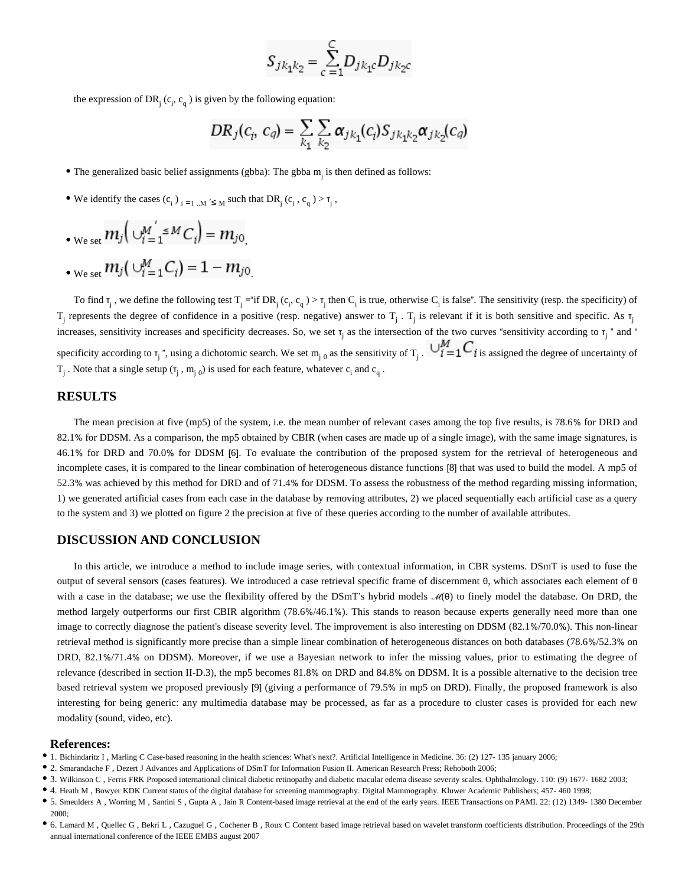$$
S_{jk_1k_2} = \sum_{c=1}^{C} D_{jk_1c} D_{jk_2c}
$$

the expression of  $DR_j(c_i, c_q)$  is given by the following equation:

$$
DR_j(c_i, c_q) = \sum_{k_1} \sum_{k_2} \alpha_{jk_1}(c_i) S_{jk_1k_2} \alpha_{jk_2}(c_q)
$$

 $\bullet$  The generalized basic belief assignments (gbba): The gbba  $m_i$  is then defined as follows:

We identify the cases  $(c_i)_{i=1...M}$  ' $\leq_M$  such that DR<sub>j</sub>  $(c_i, c_q) > \tau_j$ ,

$$
\bullet_{\text{We set}} m_j\big(\bigcup_{i=1}^M \simeq M_{i}\big) = m_{j0}
$$

• 
$$
w_{e \text{ set}} m_j(\bigcup_{i=1}^{M} C_i) = 1 - m_{j0}
$$

To find  $\tau_j$ , we define the following test  $T_j = \text{if } DR_j(c_i, c_q) > \tau_j$  then  $C_i$  is true, otherwise  $C_i$  is false". The sensitivity (resp. the specificity) of  $T_j$  represents the degree of confidence in a positive (resp. negative) answer to  $T_j$ .  $T_j$  is relevant if it is both sensitive and specific. As  $T_j$ increases, sensitivity increases and specificity decreases. So, we set  $\tau_j$  as the intersection of the two curves "sensitivity according to  $\tau_j$ " and " specificity according to  $\tau_j$ ", using a dichotomic search. We set  $m_{j,0}$  as the sensitivity of  $T_j$ .  $\forall i = 1$  is assigned the degree of uncertainty of  $T_j$ . Note that a single setup  $(\tau_j, m_{j,0})$  is used for each feature, whatever  $c_i$  and  $c_q$ .

### **RESULTS**

The mean precision at five (mp5) of the system, i.e. the mean number of relevant cases among the top five results, is 78.6% for DRD and 82.1% for DDSM. As a comparison, the mp5 obtained by CBIR (when cases are made up of a single image), with the same image signatures, is 46.1% for DRD and 70.0% for DDSM [6]. To evaluate the contribution of the proposed system for the retrieval of heterogeneous and incomplete cases, it is compared to the linear combination of heterogeneous distance functions [8] that was used to build the model. A mp5 of 52.3% was achieved by this method for DRD and of 71.4% for DDSM. To assess the robustness of the method regarding missing information, 1) we generated artificial cases from each case in the database by removing attributes, 2) we placed sequentially each artificial case as a query to the system and 3) we plotted on figure 2 the precision at five of these queries according to the number of available attributes.

#### **DISCUSSION AND CONCLUSION**

In this article, we introduce a method to include image series, with contextual information, in CBR systems. DSmT is used to fuse the output of several sensors (cases features). We introduced a case retrieval specific frame of discernment θ, which associates each element of θ with a case in the database; we use the flexibility offered by the DSmT's hybrid models  $\mathcal{M}(\theta)$  to finely model the database. On DRD, the method largely outperforms our first CBIR algorithm (78.6%/46.1%). This stands to reason because experts generally need more than one image to correctly diagnose the patient's disease severity level. The improvement is also interesting on DDSM (82.1%/70.0%). This non-linear retrieval method is significantly more precise than a simple linear combination of heterogeneous distances on both databases (78.6%/52.3% on DRD, 82.1%/71.4% on DDSM). Moreover, if we use a Bayesian network to infer the missing values, prior to estimating the degree of relevance (described in section II-D.3), the mp5 becomes 81.8% on DRD and 84.8% on DDSM. It is a possible alternative to the decision tree based retrieval system we proposed previously [9] (giving a performance of 79.5% in mp5 on DRD). Finally, the proposed framework is also interesting for being generic: any multimedia database may be processed, as far as a procedure to cluster cases is provided for each new modality (sound, video, etc).

#### **References:**

- <sup>1</sup> 1. Bichindaritz I, Marling C Case-based reasoning in the health sciences: What's next?. Artificial Intelligence in Medicine. 36: (2) 127- 135 january 2006;
- 2. Smarandache F , Dezert J Advances and Applications of DSmT for Information Fusion II. American Research Press; Rehoboth 2006;
- 3. Wilkinson C , Ferris FRK Proposed international clinical diabetic retinopathy and diabetic macular edema disease severity scales. Ophthalmology. 110: (9) 1677- 1682 2003;
- 4. Heath M , Bowyer KDK Current status of the digital database for screening mammography. Digital Mammography. Kluwer Academic Publishers; 457- 460 1998;
- 5. Smeulders A , Worring M , Santini S , Gupta A , Jain R Content-based image retrieval at the end of the early years. IEEE Transactions on PAMI. 22: (12) 1349- 1380 December 2000;
- 6. Lamard M , Quellec G , Bekri L , Cazuguel G , Cochener B , Roux C Content based image retrieval based on wavelet transform coefficients distribution. Proceedings of the 29th annual international conference of the IEEE EMBS august 2007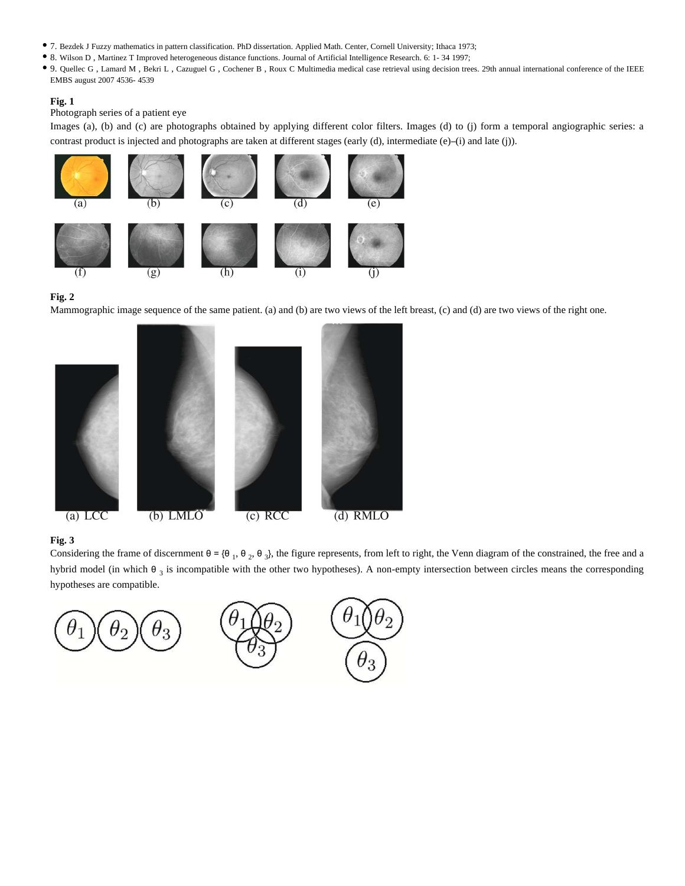- 7. Bezdek J Fuzzy mathematics in pattern classification. PhD dissertation. Applied Math. Center, Cornell University; Ithaca 1973;
- 8. Wilson D , Martinez T Improved heterogeneous distance functions. Journal of Artificial Intelligence Research. 6: 1- 34 1997;
- 9. Quellec G , Lamard M , Bekri L , Cazuguel G , Cochener B , Roux C Multimedia medical case retrieval using decision trees. 29th annual international conference of the IEEE EMBS august 2007 4536- 4539

#### **Fig. 1**

Photograph series of a patient eye

Images (a), (b) and (c) are photographs obtained by applying different color filters. Images (d) to (j) form a temporal angiographic series: a contrast product is injected and photographs are taken at different stages (early (d), intermediate (e)-(i) and late (j)).



#### **Fig. 2**

Mammographic image sequence of the same patient. (a) and (b) are two views of the left breast, (c) and (d) are two views of the right one.



#### **Fig. 3**

Considering the frame of discernment  $\theta = {\theta_1, \theta_2, \theta_3}$ , the figure represents, from left to right, the Venn diagram of the constrained, the free and a hybrid model (in which  $\theta$ <sub>3</sub> is incompatible with the other two hypotheses). A non-empty intersection between circles means the corresponding hypotheses are compatible.

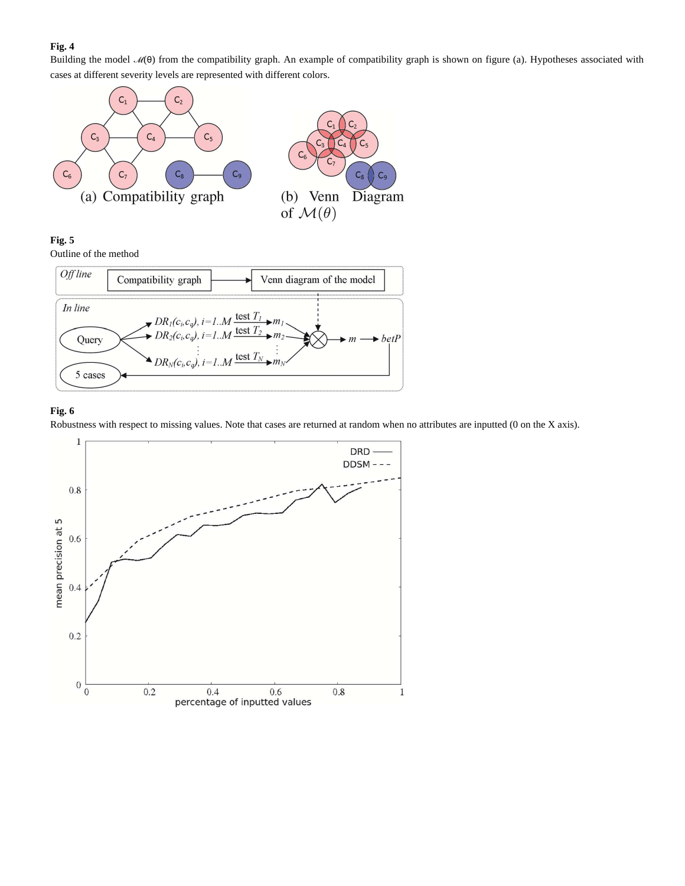## **Fig. 4**

Building the model  $M(\theta)$  from the compatibility graph. An example of compatibility graph is shown on figure (a). Hypotheses associated with cases at different severity levels are represented with different colors.



## **Fig. 5**

Outline of the method



# **Fig. 6**

Robustness with respect to missing values. Note that cases are returned at random when no attributes are inputted (0 on the X axis).